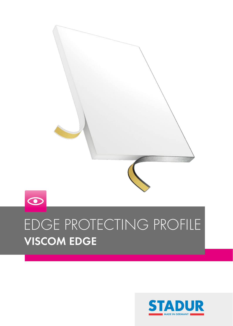

# VISCOM EDGE EDGE PROTECTING PROFILE